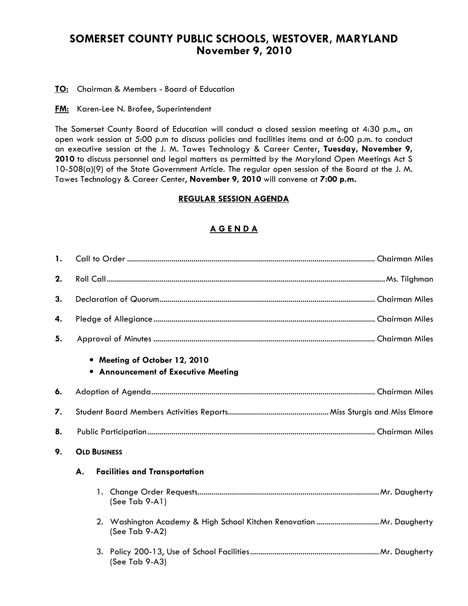## SOMERSET COUNTY PUBLIC SCHOOLS, WESTOVER, MARYLAND November 9, 2010

TO: Chairman & Members - Board of Education

**FM:** Karen-Lee N. Brofee, Superintendent

The Somerset County Board of Education will conduct a closed session meeting at 4:30 p.m., an open work session at 5:00 p.m to discuss policies and facilities items and at 6:00 p.m. to conduct an executive session at the J. M. Tawes Technology & Career Center, Tuesday, November 9, 2010 to discuss personnel and legal matters as permitted by the Maryland Open Meetings Act S 10-508(a)(9) of the State Government Article. The regular open session of the Board at the J. M. Tawes Technology & Career Center, November 9, 2010 will convene at 7:00 p.m.

## REGULAR SESSION AGENDA

## A G E N D A

| 1. |                                            |  |                                                                                         |  |  |
|----|--------------------------------------------|--|-----------------------------------------------------------------------------------------|--|--|
| 2. |                                            |  |                                                                                         |  |  |
| 3. |                                            |  |                                                                                         |  |  |
| 4. |                                            |  |                                                                                         |  |  |
| 5. |                                            |  |                                                                                         |  |  |
|    |                                            |  | • Meeting of October 12, 2010<br>• Announcement of Executive Meeting                    |  |  |
| 6. |                                            |  |                                                                                         |  |  |
| 7. |                                            |  |                                                                                         |  |  |
| 8. |                                            |  |                                                                                         |  |  |
| 9. | <b>OLD BUSINESS</b>                        |  |                                                                                         |  |  |
|    | <b>Facilities and Transportation</b><br>А. |  |                                                                                         |  |  |
|    |                                            |  | (See Tab 9-A1)                                                                          |  |  |
|    |                                            |  | 2. Washington Academy & High School Kitchen Renovation  Mr. Daugherty<br>(See Tab 9-A2) |  |  |
|    |                                            |  | (See Tab 9-A3)                                                                          |  |  |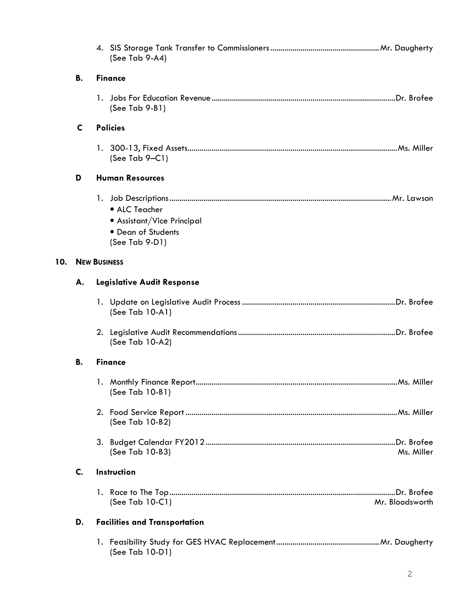|     |                     | (See Tab 9-A4)                                                                      |  |  |
|-----|---------------------|-------------------------------------------------------------------------------------|--|--|
|     | В.                  | <b>Finance</b>                                                                      |  |  |
|     |                     | $(See Tab 9-B1)$                                                                    |  |  |
|     | C                   | <b>Policies</b>                                                                     |  |  |
|     |                     | (See Tab $9-Cl$ )                                                                   |  |  |
|     | D                   | <b>Human Resources</b>                                                              |  |  |
|     |                     | • ALC Teacher<br>• Assistant/Vice Principal<br>• Dean of Students<br>(See Tab 9-D1) |  |  |
| 10. | <b>NEW BUSINESS</b> |                                                                                     |  |  |
|     | А.                  | <b>Legislative Audit Response</b>                                                   |  |  |
|     |                     | (See Tab 10-A1)                                                                     |  |  |
|     |                     | (See Tab 10-A2)                                                                     |  |  |
|     | В.                  | <b>Finance</b>                                                                      |  |  |
|     |                     | (See Tab 10-B1)                                                                     |  |  |
|     |                     | (See Tab 10-B2)                                                                     |  |  |
|     |                     | (See Tab 10-B3)<br>Ms. Miller                                                       |  |  |
|     | C.                  | Instruction                                                                         |  |  |
|     |                     | (See Tab 10-C1)<br>Mr. Bloodsworth                                                  |  |  |
|     | D.                  | <b>Facilities and Transportation</b>                                                |  |  |
|     |                     | (See Tab 10-D1)                                                                     |  |  |